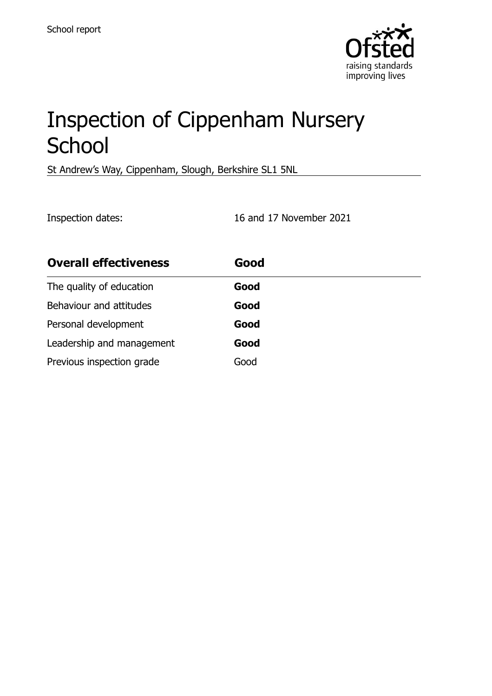

# Inspection of Cippenham Nursery **School**

St Andrew's Way, Cippenham, Slough, Berkshire SL1 5NL

Inspection dates: 16 and 17 November 2021

| <b>Overall effectiveness</b> | Good |
|------------------------------|------|
| The quality of education     | Good |
| Behaviour and attitudes      | Good |
| Personal development         | Good |
| Leadership and management    | Good |
| Previous inspection grade    | Good |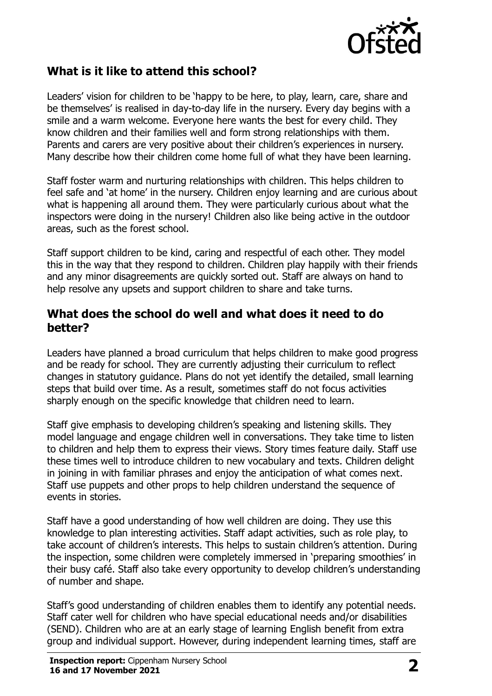

#### **What is it like to attend this school?**

Leaders' vision for children to be 'happy to be here, to play, learn, care, share and be themselves' is realised in day-to-day life in the nursery. Every day begins with a smile and a warm welcome. Everyone here wants the best for every child. They know children and their families well and form strong relationships with them. Parents and carers are very positive about their children's experiences in nursery. Many describe how their children come home full of what they have been learning.

Staff foster warm and nurturing relationships with children. This helps children to feel safe and 'at home' in the nursery. Children enjoy learning and are curious about what is happening all around them. They were particularly curious about what the inspectors were doing in the nursery! Children also like being active in the outdoor areas, such as the forest school.

Staff support children to be kind, caring and respectful of each other. They model this in the way that they respond to children. Children play happily with their friends and any minor disagreements are quickly sorted out. Staff are always on hand to help resolve any upsets and support children to share and take turns.

#### **What does the school do well and what does it need to do better?**

Leaders have planned a broad curriculum that helps children to make good progress and be ready for school. They are currently adjusting their curriculum to reflect changes in statutory guidance. Plans do not yet identify the detailed, small learning steps that build over time. As a result, sometimes staff do not focus activities sharply enough on the specific knowledge that children need to learn.

Staff give emphasis to developing children's speaking and listening skills. They model language and engage children well in conversations. They take time to listen to children and help them to express their views. Story times feature daily. Staff use these times well to introduce children to new vocabulary and texts. Children delight in joining in with familiar phrases and enjoy the anticipation of what comes next. Staff use puppets and other props to help children understand the sequence of events in stories.

Staff have a good understanding of how well children are doing. They use this knowledge to plan interesting activities. Staff adapt activities, such as role play, to take account of children's interests. This helps to sustain children's attention. During the inspection, some children were completely immersed in 'preparing smoothies' in their busy café. Staff also take every opportunity to develop children's understanding of number and shape.

Staff's good understanding of children enables them to identify any potential needs. Staff cater well for children who have special educational needs and/or disabilities (SEND). Children who are at an early stage of learning English benefit from extra group and individual support. However, during independent learning times, staff are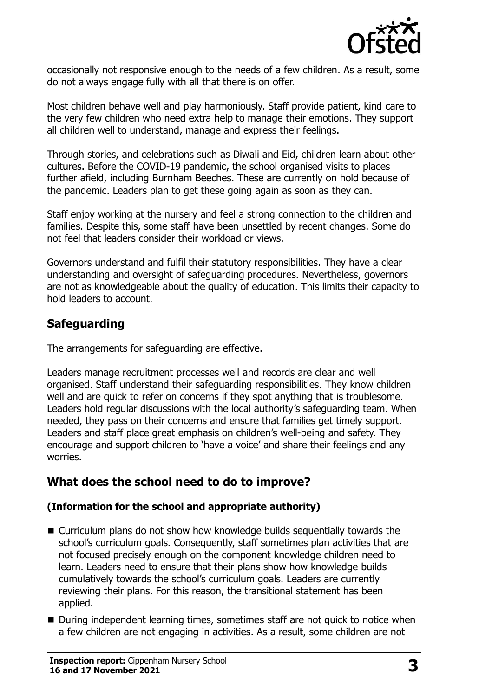

occasionally not responsive enough to the needs of a few children. As a result, some do not always engage fully with all that there is on offer.

Most children behave well and play harmoniously. Staff provide patient, kind care to the very few children who need extra help to manage their emotions. They support all children well to understand, manage and express their feelings.

Through stories, and celebrations such as Diwali and Eid, children learn about other cultures. Before the COVID-19 pandemic, the school organised visits to places further afield, including Burnham Beeches. These are currently on hold because of the pandemic. Leaders plan to get these going again as soon as they can.

Staff enjoy working at the nursery and feel a strong connection to the children and families. Despite this, some staff have been unsettled by recent changes. Some do not feel that leaders consider their workload or views.

Governors understand and fulfil their statutory responsibilities. They have a clear understanding and oversight of safeguarding procedures. Nevertheless, governors are not as knowledgeable about the quality of education. This limits their capacity to hold leaders to account.

### **Safeguarding**

The arrangements for safeguarding are effective.

Leaders manage recruitment processes well and records are clear and well organised. Staff understand their safeguarding responsibilities. They know children well and are quick to refer on concerns if they spot anything that is troublesome. Leaders hold regular discussions with the local authority's safeguarding team. When needed, they pass on their concerns and ensure that families get timely support. Leaders and staff place great emphasis on children's well-being and safety. They encourage and support children to 'have a voice' and share their feelings and any worries.

# **What does the school need to do to improve?**

#### **(Information for the school and appropriate authority)**

- Curriculum plans do not show how knowledge builds sequentially towards the school's curriculum goals. Consequently, staff sometimes plan activities that are not focused precisely enough on the component knowledge children need to learn. Leaders need to ensure that their plans show how knowledge builds cumulatively towards the school's curriculum goals. Leaders are currently reviewing their plans. For this reason, the transitional statement has been applied.
- During independent learning times, sometimes staff are not quick to notice when a few children are not engaging in activities. As a result, some children are not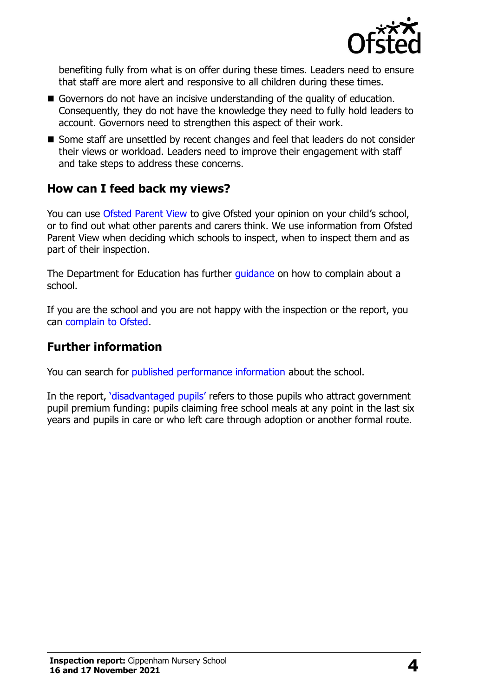

benefiting fully from what is on offer during these times. Leaders need to ensure that staff are more alert and responsive to all children during these times.

- Governors do not have an incisive understanding of the quality of education. Consequently, they do not have the knowledge they need to fully hold leaders to account. Governors need to strengthen this aspect of their work.
- Some staff are unsettled by recent changes and feel that leaders do not consider their views or workload. Leaders need to improve their engagement with staff and take steps to address these concerns.

### **How can I feed back my views?**

You can use [Ofsted Parent View](http://parentview.ofsted.gov.uk/) to give Ofsted your opinion on your child's school, or to find out what other parents and carers think. We use information from Ofsted Parent View when deciding which schools to inspect, when to inspect them and as part of their inspection.

The Department for Education has further quidance on how to complain about a school.

If you are the school and you are not happy with the inspection or the report, you can [complain to Ofsted.](http://www.gov.uk/complain-ofsted-report)

#### **Further information**

You can search for [published performance information](http://www.compare-school-performance.service.gov.uk/) about the school.

In the report, '[disadvantaged pupils](http://www.gov.uk/guidance/pupil-premium-information-for-schools-and-alternative-provision-settings)' refers to those pupils who attract government pupil premium funding: pupils claiming free school meals at any point in the last six years and pupils in care or who left care through adoption or another formal route.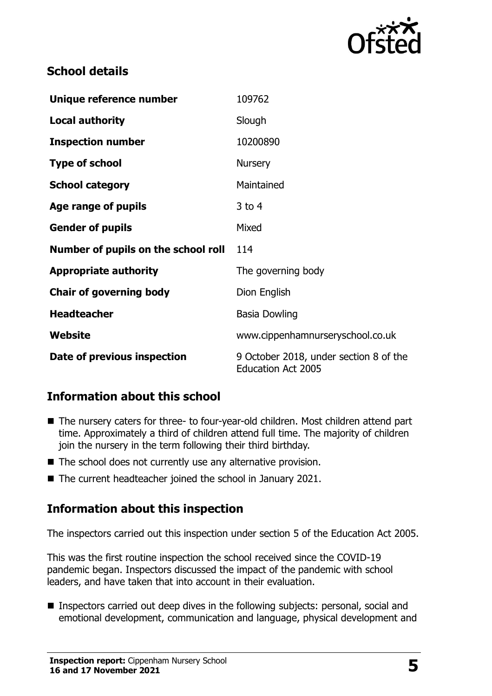

### **School details**

| Unique reference number             | 109762                                                              |
|-------------------------------------|---------------------------------------------------------------------|
| <b>Local authority</b>              | Slough                                                              |
| <b>Inspection number</b>            | 10200890                                                            |
| <b>Type of school</b>               | <b>Nursery</b>                                                      |
| <b>School category</b>              | Maintained                                                          |
| Age range of pupils                 | $3$ to 4                                                            |
| <b>Gender of pupils</b>             | Mixed                                                               |
| Number of pupils on the school roll | 114                                                                 |
| <b>Appropriate authority</b>        | The governing body                                                  |
| <b>Chair of governing body</b>      | Dion English                                                        |
| <b>Headteacher</b>                  | <b>Basia Dowling</b>                                                |
| Website                             | www.cippenhamnurseryschool.co.uk                                    |
| Date of previous inspection         | 9 October 2018, under section 8 of the<br><b>Education Act 2005</b> |

# **Information about this school**

- The nursery caters for three- to four-year-old children. Most children attend part time. Approximately a third of children attend full time. The majority of children join the nursery in the term following their third birthday.
- The school does not currently use any alternative provision.
- The current headteacher joined the school in January 2021.

# **Information about this inspection**

The inspectors carried out this inspection under section 5 of the Education Act 2005.

This was the first routine inspection the school received since the COVID-19 pandemic began. Inspectors discussed the impact of the pandemic with school leaders, and have taken that into account in their evaluation.

■ Inspectors carried out deep dives in the following subjects: personal, social and emotional development, communication and language, physical development and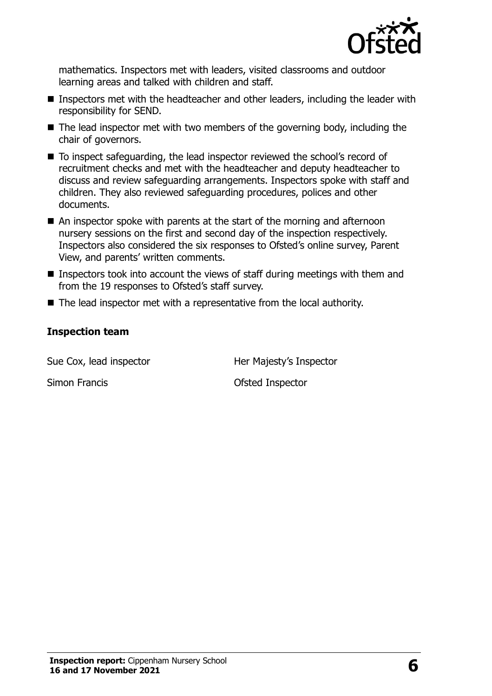

mathematics. Inspectors met with leaders, visited classrooms and outdoor learning areas and talked with children and staff.

- Inspectors met with the headteacher and other leaders, including the leader with responsibility for SEND.
- $\blacksquare$  The lead inspector met with two members of the governing body, including the chair of governors.
- To inspect safeguarding, the lead inspector reviewed the school's record of recruitment checks and met with the headteacher and deputy headteacher to discuss and review safeguarding arrangements. Inspectors spoke with staff and children. They also reviewed safeguarding procedures, polices and other documents.
- An inspector spoke with parents at the start of the morning and afternoon nursery sessions on the first and second day of the inspection respectively. Inspectors also considered the six responses to Ofsted's online survey, Parent View, and parents' written comments.
- Inspectors took into account the views of staff during meetings with them and from the 19 responses to Ofsted's staff survey.
- The lead inspector met with a representative from the local authority.

#### **Inspection team**

Sue Cox, lead inspector **Her Majesty's Inspector** 

Simon Francis **Contract Structure Contract Contract Contract Contract Contract Contract Contract Contract Contract Contract Contract Contract Contract Contract Contract Contract Contract Contract Contract Contract Contract**